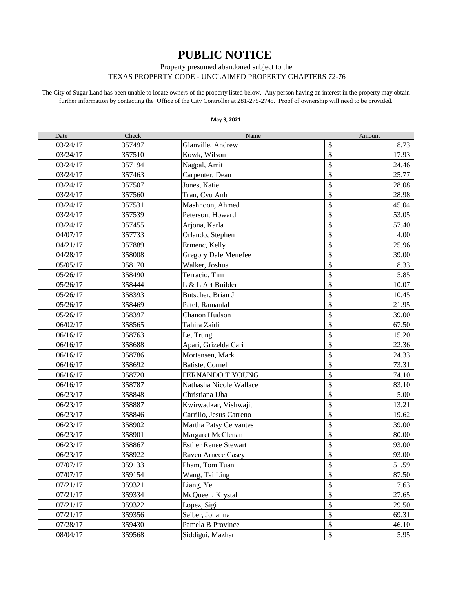## **PUBLIC NOTICE**

Property presumed abandoned subject to the

## TEXAS PROPERTY CODE - UNCLAIMED PROPERTY CHAPTERS 72-76

The City of Sugar Land has been unable to locate owners of the property listed below. Any person having an interest in the property may obtain further information by contacting the Office of the City Controller at 281-275-2745. Proof of ownership will need to be provided.

## **May 3, 2021**

| Date     | Check  | Name                        |                                 | Amount |
|----------|--------|-----------------------------|---------------------------------|--------|
| 03/24/17 | 357497 | Glanville, Andrew           | \$                              | 8.73   |
| 03/24/17 | 357510 | Kowk, Wilson                | \$                              | 17.93  |
| 03/24/17 | 357194 | Nagpal, Amit                | \$                              | 24.46  |
| 03/24/17 | 357463 | Carpenter, Dean             | \$                              | 25.77  |
| 03/24/17 | 357507 | Jones, Katie                | \$                              | 28.08  |
| 03/24/17 | 357560 | Tran, Cvu Anh               | \$                              | 28.98  |
| 03/24/17 | 357531 | Mashnoon, Ahmed             | \$                              | 45.04  |
| 03/24/17 | 357539 | Peterson, Howard            | $\boldsymbol{\hat{\mathsf{S}}}$ | 53.05  |
| 03/24/17 | 357455 | Arjona, Karla               | \$                              | 57.40  |
| 04/07/17 | 357733 | Orlando, Stephen            | \$                              | 4.00   |
| 04/21/17 | 357889 | Ermenc, Kelly               | \$                              | 25.96  |
| 04/28/17 | 358008 | <b>Gregory Dale Menefee</b> | \$                              | 39.00  |
| 05/05/17 | 358170 | Walker, Joshua              | \$                              | 8.33   |
| 05/26/17 | 358490 | Terracio, Tim               | \$                              | 5.85   |
| 05/26/17 | 358444 | L & L Art Builder           | \$                              | 10.07  |
| 05/26/17 | 358393 | Butscher, Brian J           | \$                              | 10.45  |
| 05/26/17 | 358469 | Patel, Ramanlal             | \$                              | 21.95  |
| 05/26/17 | 358397 | Chanon Hudson               | \$                              | 39.00  |
| 06/02/17 | 358565 | Tahira Zaidi                | \$                              | 67.50  |
| 06/16/17 | 358763 | Le, Trung                   | \$                              | 15.20  |
| 06/16/17 | 358688 | Apari, Grizelda Cari        | \$                              | 22.36  |
| 06/16/17 | 358786 | Mortensen, Mark             | \$                              | 24.33  |
| 06/16/17 | 358692 | Batiste, Cornel             | \$                              | 73.31  |
| 06/16/17 | 358720 | FERNANDO T YOUNG            | $\mathcal{S}$                   | 74.10  |
| 06/16/17 | 358787 | Nathasha Nicole Wallace     | $\boldsymbol{\hat{\mathsf{S}}}$ | 83.10  |
| 06/23/17 | 358848 | Christiana Uba              | \$                              | 5.00   |
| 06/23/17 | 358887 | Kwirwadkar, Vishwajit       | \$                              | 13.21  |
| 06/23/17 | 358846 | Carrillo, Jesus Carreno     | \$                              | 19.62  |
| 06/23/17 | 358902 | Martha Patsy Cervantes      | \$                              | 39.00  |
| 06/23/17 | 358901 | Margaret McClenan           | \$                              | 80.00  |
| 06/23/17 | 358867 | <b>Esther Renee Stewart</b> | \$                              | 93.00  |
| 06/23/17 | 358922 | Raven Arnece Casey          | \$                              | 93.00  |
| 07/07/17 | 359133 | Pham, Tom Tuan              | \$                              | 51.59  |
| 07/07/17 | 359154 | Wang, Tai Ling              | \$                              | 87.50  |
| 07/21/17 | 359321 | Liang, Ye                   | \$                              | 7.63   |
| 07/21/17 | 359334 | McQueen, Krystal            | \$                              | 27.65  |
| 07/21/17 | 359322 | Lopez, Sigi                 | \$                              | 29.50  |
| 07/21/17 | 359356 | Seiber, Johanna             | \$                              | 69.31  |
| 07/28/17 | 359430 | Pamela B Province           | \$                              | 46.10  |
| 08/04/17 | 359568 | Siddigui, Mazhar            | \$                              | 5.95   |